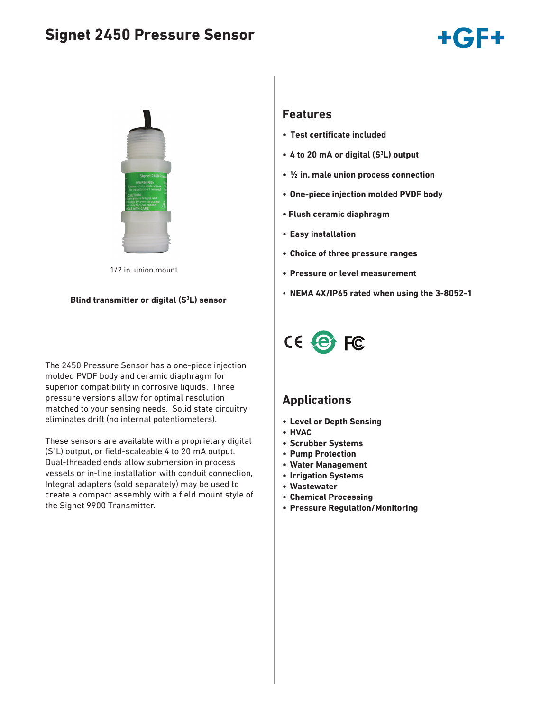# **Signet 2450 Pressure Sensor**





1/2 in. union mount

#### **Blind transmitter or digital (S3 L) sensor**

The 2450 Pressure Sensor has a one-piece injection molded PVDF body and ceramic diaphragm for superior compatibility in corrosive liquids. Three pressure versions allow for optimal resolution matched to your sensing needs. Solid state circuitry eliminates drift (no internal potentiometers).

These sensors are available with a proprietary digital (S3 L) output, or field-scaleable 4 to 20 mA output. Dual-threaded ends allow submersion in process vessels or in-line installation with conduit connection, Integral adapters (sold separately) may be used to create a compact assembly with a field mount style of the Signet 9900 Transmitter.

### **Features**

- **• Test certificate included**
- **• 4 to 20 mA or digital (S3 L) output**
- **• ½ in. male union process connection**
- **• One-piece injection molded PVDF body**
- **Flush ceramic diaphragm**
- **• Easy installation**
- **• Choice of three pressure ranges**
- **• Pressure or level measurement**
- **NEMA 4X/IP65 rated when using the 3-8052-1**



### **Applications**

- **• Level or Depth Sensing**
- **• HVAC**
- **• Scrubber Systems**
- **• Pump Protection**
- **• Water Management**
- **• Irrigation Systems**
- **• Wastewater**
- **• Chemical Processing**
- **• Pressure Regulation/Monitoring**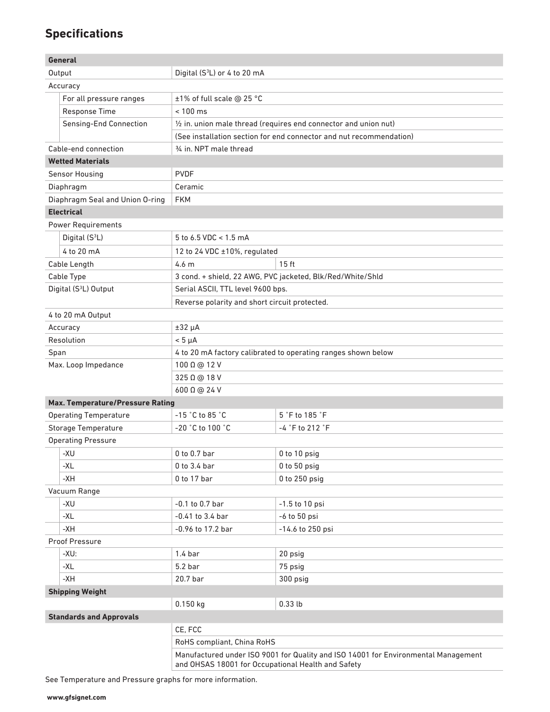# **Specifications**

|                                                         | General                                              |                                                                                                                                          |                                                                     |  |  |  |
|---------------------------------------------------------|------------------------------------------------------|------------------------------------------------------------------------------------------------------------------------------------------|---------------------------------------------------------------------|--|--|--|
|                                                         | Output                                               | Digital (S <sup>3</sup> L) or 4 to 20 mA                                                                                                 |                                                                     |  |  |  |
| Accuracy                                                |                                                      |                                                                                                                                          |                                                                     |  |  |  |
|                                                         | For all pressure ranges<br>±1% of full scale @ 25 °C |                                                                                                                                          |                                                                     |  |  |  |
|                                                         | <b>Response Time</b>                                 | $< 100$ ms                                                                                                                               |                                                                     |  |  |  |
|                                                         | Sensing-End Connection                               | 1/2 in. union male thread (requires end connector and union nut)                                                                         |                                                                     |  |  |  |
|                                                         |                                                      |                                                                                                                                          | (See installation section for end connector and nut recommendation) |  |  |  |
|                                                         | Cable-end connection                                 | 3/4 in. NPT male thread                                                                                                                  |                                                                     |  |  |  |
|                                                         | <b>Wetted Materials</b>                              |                                                                                                                                          |                                                                     |  |  |  |
|                                                         | <b>Sensor Housing</b>                                | <b>PVDF</b>                                                                                                                              |                                                                     |  |  |  |
| Diaphragm                                               |                                                      | Ceramic                                                                                                                                  |                                                                     |  |  |  |
| Diaphragm Seal and Union O-ring                         |                                                      | <b>FKM</b>                                                                                                                               |                                                                     |  |  |  |
| <b>Electrical</b>                                       |                                                      |                                                                                                                                          |                                                                     |  |  |  |
|                                                         | <b>Power Requirements</b>                            |                                                                                                                                          |                                                                     |  |  |  |
| Digital (S <sup>3</sup> L)                              |                                                      | 5 to 6.5 VDC < 1.5 mA                                                                                                                    |                                                                     |  |  |  |
|                                                         | 4 to 20 mA                                           | 12 to 24 VDC ±10%, regulated                                                                                                             |                                                                     |  |  |  |
|                                                         | Cable Length                                         | 4.6 <sub>m</sub>                                                                                                                         | 15 <sub>ft</sub>                                                    |  |  |  |
|                                                         | Cable Type                                           |                                                                                                                                          |                                                                     |  |  |  |
|                                                         |                                                      | 3 cond. + shield, 22 AWG, PVC jacketed, Blk/Red/White/Shld<br>Serial ASCII, TTL level 9600 bps.                                          |                                                                     |  |  |  |
| Digital (S <sup>3</sup> L) Output                       |                                                      |                                                                                                                                          |                                                                     |  |  |  |
|                                                         |                                                      | Reverse polarity and short circuit protected.                                                                                            |                                                                     |  |  |  |
|                                                         | 4 to 20 mA Output                                    |                                                                                                                                          |                                                                     |  |  |  |
| Accuracy                                                |                                                      | $±32 \mu A$                                                                                                                              |                                                                     |  |  |  |
| Resolution                                              |                                                      | $< 5 \mu A$                                                                                                                              |                                                                     |  |  |  |
| Span                                                    |                                                      | 4 to 20 mA factory calibrated to operating ranges shown below                                                                            |                                                                     |  |  |  |
| Max. Loop Impedance                                     |                                                      | 100 Ω @ 12 V                                                                                                                             |                                                                     |  |  |  |
|                                                         |                                                      | 325 Q @ 18 V                                                                                                                             |                                                                     |  |  |  |
|                                                         |                                                      | 600 Q @ 24 V                                                                                                                             |                                                                     |  |  |  |
| <b>Max. Temperature/Pressure Rating</b>                 |                                                      | $-15$ $^{\circ}$ C to 85 $^{\circ}$ C                                                                                                    |                                                                     |  |  |  |
| <b>Operating Temperature</b>                            |                                                      | $-20$ $^{\circ}$ C to 100 $^{\circ}$ C                                                                                                   | 5 °F to 185 °F<br>-4 °F to 212 °F                                   |  |  |  |
| <b>Storage Temperature</b><br><b>Operating Pressure</b> |                                                      |                                                                                                                                          |                                                                     |  |  |  |
|                                                         |                                                      |                                                                                                                                          |                                                                     |  |  |  |
|                                                         | -XU                                                  | $0$ to $0.7$ bar                                                                                                                         | 0 to 10 psig                                                        |  |  |  |
|                                                         | -XL                                                  | $0$ to 3.4 bar                                                                                                                           | 0 to 50 psig                                                        |  |  |  |
|                                                         | $-XH$                                                | $0$ to 17 bar                                                                                                                            | $0$ to $250$ psig                                                   |  |  |  |
| Vacuum Range                                            |                                                      |                                                                                                                                          |                                                                     |  |  |  |
|                                                         | -XU                                                  | $-0.1$ to $0.7$ bar                                                                                                                      | $-1.5$ to 10 psi                                                    |  |  |  |
|                                                         | $-XL$                                                | $-0.41$ to 3.4 bar                                                                                                                       | $-6$ to $50$ psi                                                    |  |  |  |
|                                                         | -XH                                                  | -0.96 to 17.2 bar                                                                                                                        | $-14.6$ to 250 psi                                                  |  |  |  |
|                                                         | Proof Pressure                                       |                                                                                                                                          |                                                                     |  |  |  |
|                                                         | $-XU$ :                                              | 1.4 <sub>bar</sub>                                                                                                                       | 20 psig                                                             |  |  |  |
|                                                         | -XL                                                  | 5.2 <sub>bar</sub>                                                                                                                       | 75 psig                                                             |  |  |  |
|                                                         | $-XH$                                                | 20.7 bar                                                                                                                                 | 300 psig                                                            |  |  |  |
|                                                         | <b>Shipping Weight</b>                               |                                                                                                                                          |                                                                     |  |  |  |
|                                                         |                                                      | 0.150 kg                                                                                                                                 | $0.33$ lb                                                           |  |  |  |
|                                                         | <b>Standards and Approvals</b>                       |                                                                                                                                          |                                                                     |  |  |  |
|                                                         |                                                      | CE, FCC                                                                                                                                  |                                                                     |  |  |  |
|                                                         |                                                      | RoHS compliant, China RoHS                                                                                                               |                                                                     |  |  |  |
|                                                         |                                                      | Manufactured under ISO 9001 for Quality and ISO 14001 for Environmental Management<br>and OHSAS 18001 for Occupational Health and Safety |                                                                     |  |  |  |

See Temperature and Pressure graphs for more information.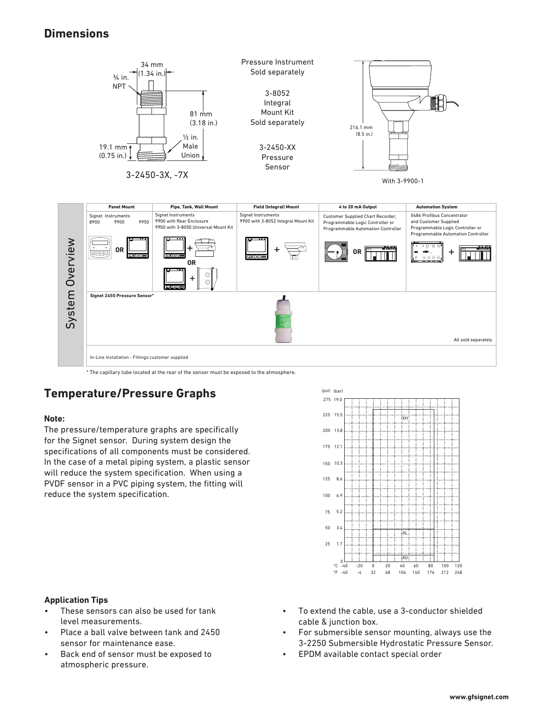### **Dimensions**



\* The capillary tube located at the rear of the sensor must be exposed to the atmosphere.

## **Temperature/Pressure Graphs**

#### **Note:**

The pressure/temperature graphs are specifically for the Signet sensor. During system design the specifications of all components must be considered. In the case of a metal piping system, a plastic sensor will reduce the system specification. When using a PVDF sensor in a PVC piping system, the fitting will reduce the system specification.



#### **Application Tips**

- These sensors can also be used for tank level measurements.
- Place a ball valve between tank and 2450 sensor for maintenance ease.
- Back end of sensor must be exposed to atmospheric pressure.
- To extend the cable, use a 3-conductor shielded cable & junction box.
- For submersible sensor mounting, always use the 3-2250 Submersible Hydrostatic Pressure Sensor.
- EPDM available contact special order